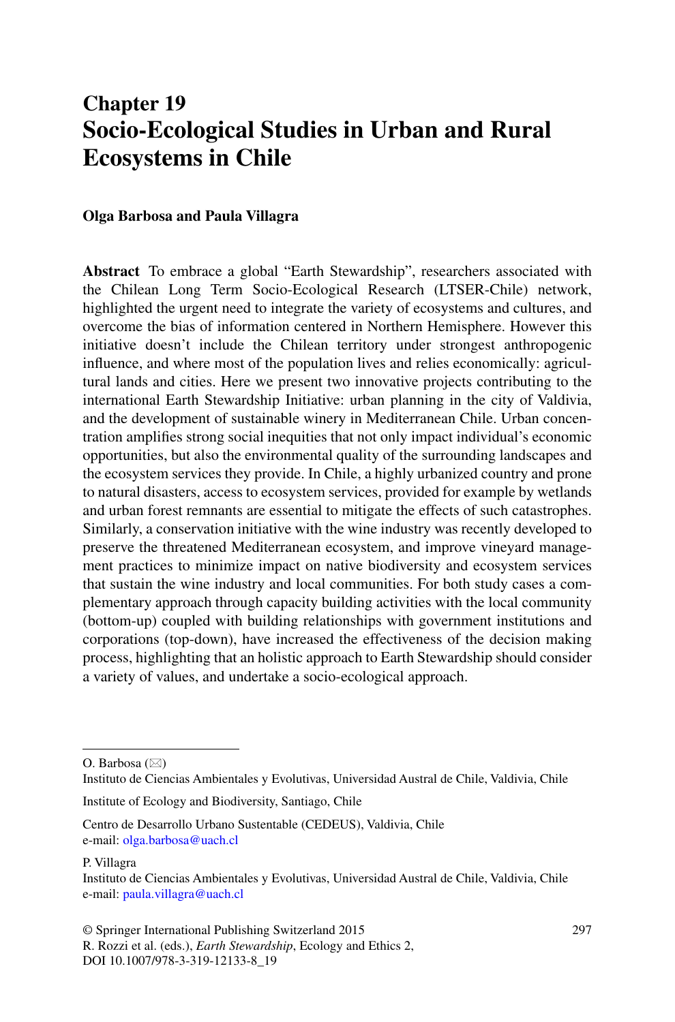# **Chapter 19 Socio-Ecological Studies in Urban and Rural Ecosystems in Chile**

#### **Olga Barbosa and Paula Villagra**

 **Abstract** To embrace a global "Earth Stewardship", researchers associated with the Chilean Long Term Socio-Ecological Research (LTSER-Chile) network, highlighted the urgent need to integrate the variety of ecosystems and cultures, and overcome the bias of information centered in Northern Hemisphere. However this initiative doesn't include the Chilean territory under strongest anthropogenic influence, and where most of the population lives and relies economically: agricultural lands and cities. Here we present two innovative projects contributing to the international Earth Stewardship Initiative: urban planning in the city of Valdivia, and the development of sustainable winery in Mediterranean Chile. Urban concentration amplifies strong social inequities that not only impact individual's economic opportunities, but also the environmental quality of the surrounding landscapes and the ecosystem services they provide. In Chile, a highly urbanized country and prone to natural disasters, access to ecosystem services, provided for example by wetlands and urban forest remnants are essential to mitigate the effects of such catastrophes. Similarly, a conservation initiative with the wine industry was recently developed to preserve the threatened Mediterranean ecosystem, and improve vineyard management practices to minimize impact on native biodiversity and ecosystem services that sustain the wine industry and local communities. For both study cases a complementary approach through capacity building activities with the local community (bottom-up) coupled with building relationships with government institutions and corporations (top-down), have increased the effectiveness of the decision making process, highlighting that an holistic approach to Earth Stewardship should consider a variety of values, and undertake a socio-ecological approach.

P. Villagra

O. Barbosa  $(\boxtimes)$ 

Instituto de Ciencias Ambientales y Evolutivas, Universidad Austral de Chile, Valdivia, Chile

Institute of Ecology and Biodiversity, Santiago, Chile

Centro de Desarrollo Urbano Sustentable (CEDEUS), Valdivia, Chile e-mail: [olga.barbosa@uach.cl](mailto:olga.barbosa@uach.cl)

Instituto de Ciencias Ambientales y Evolutivas, Universidad Austral de Chile , Valdivia , Chile e-mail: [paula.villagra@uach.cl](mailto:paula.villagra@uach.cl)

<sup>©</sup> Springer International Publishing Switzerland 2015 297

R. Rozzi et al. (eds.), *Earth Stewardship*, Ecology and Ethics 2, DOI 10.1007/978-3-319-12133-8\_19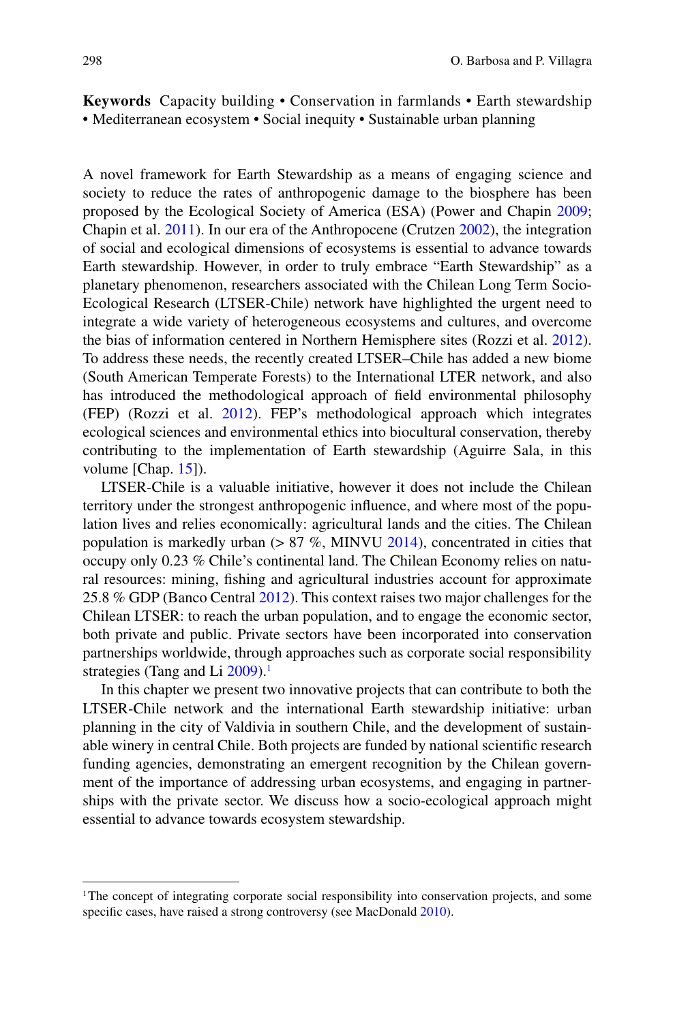**Keywords** Capacity building • Conservation in farmlands • Earth stewardship • Mediterranean ecosystem • Social inequity • Sustainable urban planning

 A novel framework for Earth Stewardship as a means of engaging science and society to reduce the rates of anthropogenic damage to the biosphere has been proposed by the Ecological Society of America (ESA) (Power and Chapin 2009; Chapin et al.  $2011$ ). In our era of the Anthropocene (Crutzen [2002](#page-12-0)), the integration of social and ecological dimensions of ecosystems is essential to advance towards Earth stewardship. However, in order to truly embrace "Earth Stewardship" as a planetary phenomenon, researchers associated with the Chilean Long Term Socio-Ecological Research (LTSER-Chile) network have highlighted the urgent need to integrate a wide variety of heterogeneous ecosystems and cultures, and overcome the bias of information centered in Northern Hemisphere sites (Rozzi et al. 2012). To address these needs, the recently created LTSER–Chile has added a new biome (South American Temperate Forests) to the International LTER network, and also has introduced the methodological approach of field environmental philosophy (FEP) (Rozzi et al. [2012 \)](#page-14-0). FEP's methodological approach which integrates ecological sciences and environmental ethics into biocultural conservation, thereby contributing to the implementation of Earth stewardship (Aguirre Sala, in this volume  $[Chap. 15]$  $[Chap. 15]$ .

 LTSER-Chile is a valuable initiative, however it does not include the Chilean territory under the strongest anthropogenic influence, and where most of the population lives and relies economically: agricultural lands and the cities. The Chilean population is markedly urban ( $> 87\%$ , MINVU [2014](#page-13-0)), concentrated in cities that occupy only 0.23 % Chile's continental land. The Chilean Economy relies on natural resources: mining, fishing and agricultural industries account for approximate 25.8 % GDP (Banco Central [2012 \)](#page-12-0). This context raises two major challenges for the Chilean LTSER: to reach the urban population, and to engage the economic sector, both private and public. Private sectors have been incorporated into conservation partnerships worldwide, through approaches such as corporate social responsibility strategies (Tang and Li  $2009$ ).<sup>1</sup>

 In this chapter we present two innovative projects that can contribute to both the LTSER-Chile network and the international Earth stewardship initiative: urban planning in the city of Valdivia in southern Chile, and the development of sustainable winery in central Chile. Both projects are funded by national scientific research funding agencies, demonstrating an emergent recognition by the Chilean government of the importance of addressing urban ecosystems, and engaging in partnerships with the private sector. We discuss how a socio-ecological approach might essential to advance towards ecosystem stewardship.

<sup>&</sup>lt;sup>1</sup>The concept of integrating corporate social responsibility into conservation projects, and some specific cases, have raised a strong controversy (see MacDonald 2010).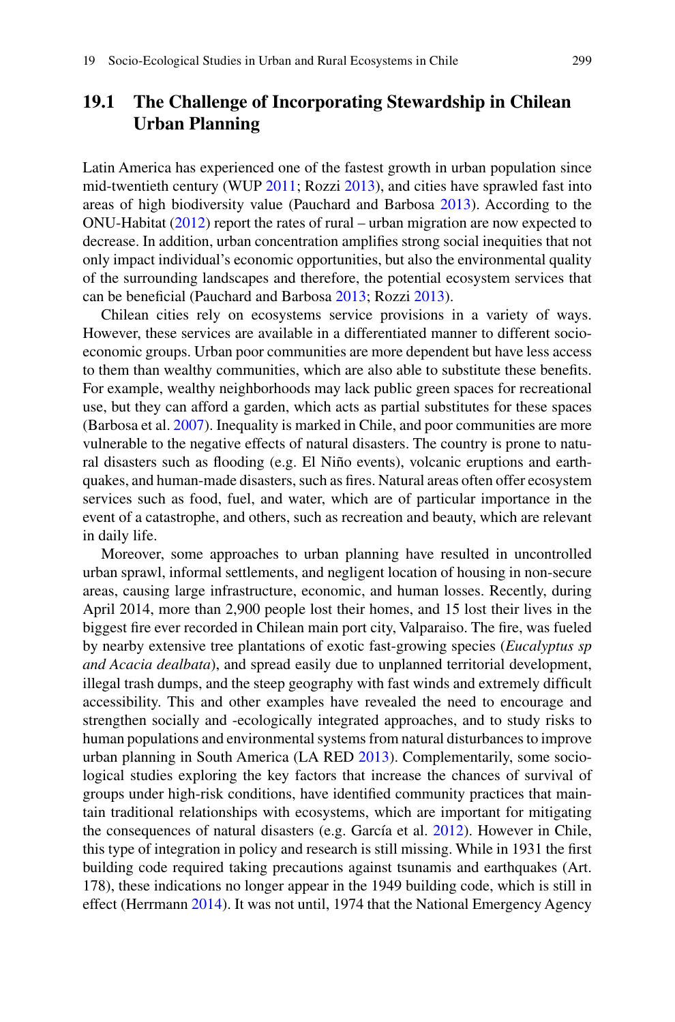## **19.1 The Challenge of Incorporating Stewardship in Chilean Urban Planning**

 Latin America has experienced one of the fastest growth in urban population since mid-twentieth century (WUP [2011](#page-14-0); Rozzi [2013](#page-14-0)), and cities have sprawled fast into areas of high biodiversity value (Pauchard and Barbosa [2013 \)](#page-13-0). According to the ONU-Habitat  $(2012)$  report the rates of rural – urban migration are now expected to decrease. In addition, urban concentration amplifies strong social inequities that not only impact individual's economic opportunities, but also the environmental quality of the surrounding landscapes and therefore, the potential ecosystem services that can be beneficial (Pauchard and Barbosa 2013; Rozzi 2013).

 Chilean cities rely on ecosystems service provisions in a variety of ways. However, these services are available in a differentiated manner to different socioeconomic groups. Urban poor communities are more dependent but have less access to them than wealthy communities, which are also able to substitute these benefits. For example, wealthy neighborhoods may lack public green spaces for recreational use, but they can afford a garden, which acts as partial substitutes for these spaces (Barbosa et al. [2007](#page-12-0) ). Inequality is marked in Chile, and poor communities are more vulnerable to the negative effects of natural disasters. The country is prone to natural disasters such as flooding (e.g. El Niño events), volcanic eruptions and earthquakes, and human-made disasters, such as fi res. Natural areas often offer ecosystem services such as food, fuel, and water, which are of particular importance in the event of a catastrophe, and others, such as recreation and beauty, which are relevant in daily life.

 Moreover, some approaches to urban planning have resulted in uncontrolled urban sprawl, informal settlements, and negligent location of housing in non-secure areas, causing large infrastructure, economic, and human losses. Recently, during April 2014, more than 2,900 people lost their homes, and 15 lost their lives in the biggest fire ever recorded in Chilean main port city, Valparaiso. The fire, was fueled by nearby extensive tree plantations of exotic fast-growing species ( *Eucalyptus sp and Acacia dealbata* ), and spread easily due to unplanned territorial development, illegal trash dumps, and the steep geography with fast winds and extremely difficult accessibility. This and other examples have revealed the need to encourage and strengthen socially and -ecologically integrated approaches, and to study risks to human populations and environmental systems from natural disturbances to improve urban planning in South America (LA RED 2013). Complementarily, some sociological studies exploring the key factors that increase the chances of survival of groups under high-risk conditions, have identified community practices that maintain traditional relationships with ecosystems, which are important for mitigating the consequences of natural disasters (e.g. García et al. [2012](#page-12-0) ). However in Chile, this type of integration in policy and research is still missing. While in 1931 the first building code required taking precautions against tsunamis and earthquakes (Art. 178), these indications no longer appear in the 1949 building code, which is still in effect (Herrmann 2014). It was not until, 1974 that the National Emergency Agency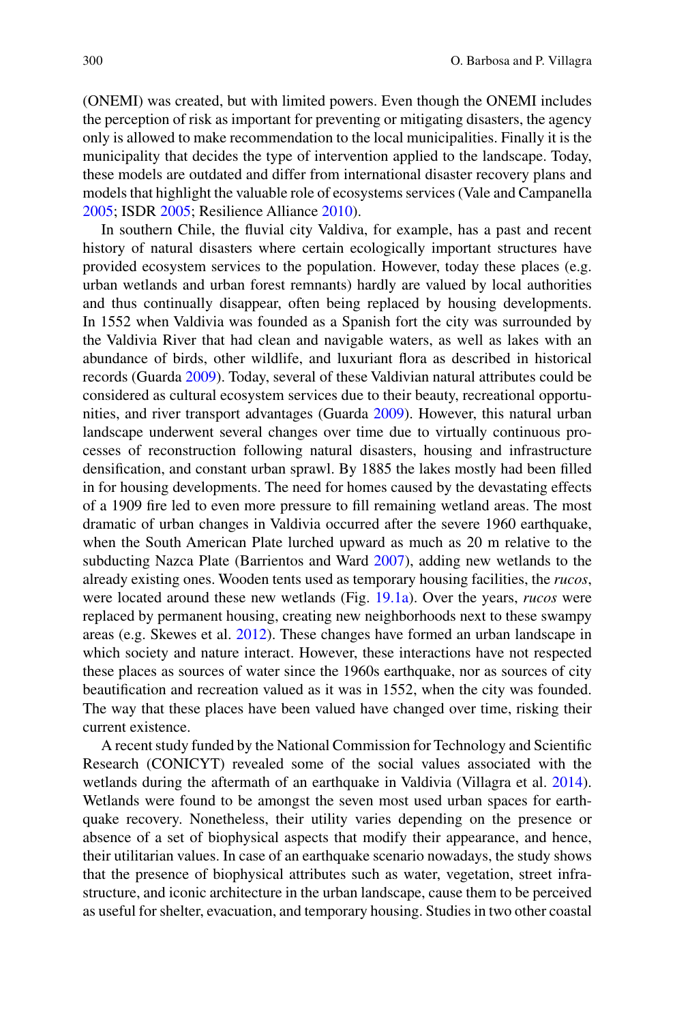(ONEMI) was created, but with limited powers. Even though the ONEMI includes the perception of risk as important for preventing or mitigating disasters, the agency only is allowed to make recommendation to the local municipalities. Finally it is the municipality that decides the type of intervention applied to the landscape. Today, these models are outdated and differ from international disaster recovery plans and models that highlight the valuable role of ecosystems services (Vale and Campanella 2005; ISDR [2005](#page-13-0); Resilience Alliance 2010).

In southern Chile, the fluvial city Valdiva, for example, has a past and recent history of natural disasters where certain ecologically important structures have provided ecosystem services to the population. However, today these places (e.g. urban wetlands and urban forest remnants) hardly are valued by local authorities and thus continually disappear, often being replaced by housing developments. In 1552 when Valdivia was founded as a Spanish fort the city was surrounded by the Valdivia River that had clean and navigable waters, as well as lakes with an abundance of birds, other wildlife, and luxuriant flora as described in historical records (Guarda [2009 \)](#page-12-0). Today, several of these Valdivian natural attributes could be considered as cultural ecosystem services due to their beauty, recreational opportu-nities, and river transport advantages (Guarda [2009](#page-12-0)). However, this natural urban landscape underwent several changes over time due to virtually continuous processes of reconstruction following natural disasters, housing and infrastructure densification, and constant urban sprawl. By 1885 the lakes mostly had been filled in for housing developments. The need for homes caused by the devastating effects of a 1909 fire led to even more pressure to fill remaining wetland areas. The most dramatic of urban changes in Valdivia occurred after the severe 1960 earthquake, when the South American Plate lurched upward as much as 20 m relative to the subducting Nazca Plate (Barrientos and Ward 2007), adding new wetlands to the already existing ones. Wooden tents used as temporary housing facilities, the *rucos* , were located around these new wetlands (Fig. [19.1a](#page-4-0) ). Over the years, *rucos* were replaced by permanent housing, creating new neighborhoods next to these swampy areas (e.g. Skewes et al. [2012 \)](#page-14-0). These changes have formed an urban landscape in which society and nature interact. However, these interactions have not respected these places as sources of water since the 1960s earthquake, nor as sources of city beautification and recreation valued as it was in 1552, when the city was founded. The way that these places have been valued have changed over time, risking their current existence.

A recent study funded by the National Commission for Technology and Scientific Research (CONICYT) revealed some of the social values associated with the wetlands during the aftermath of an earthquake in Valdivia (Villagra et al. 2014). Wetlands were found to be amongst the seven most used urban spaces for earthquake recovery. Nonetheless, their utility varies depending on the presence or absence of a set of biophysical aspects that modify their appearance, and hence, their utilitarian values. In case of an earthquake scenario nowadays, the study shows that the presence of biophysical attributes such as water, vegetation, street infrastructure, and iconic architecture in the urban landscape, cause them to be perceived as useful for shelter, evacuation, and temporary housing. Studies in two other coastal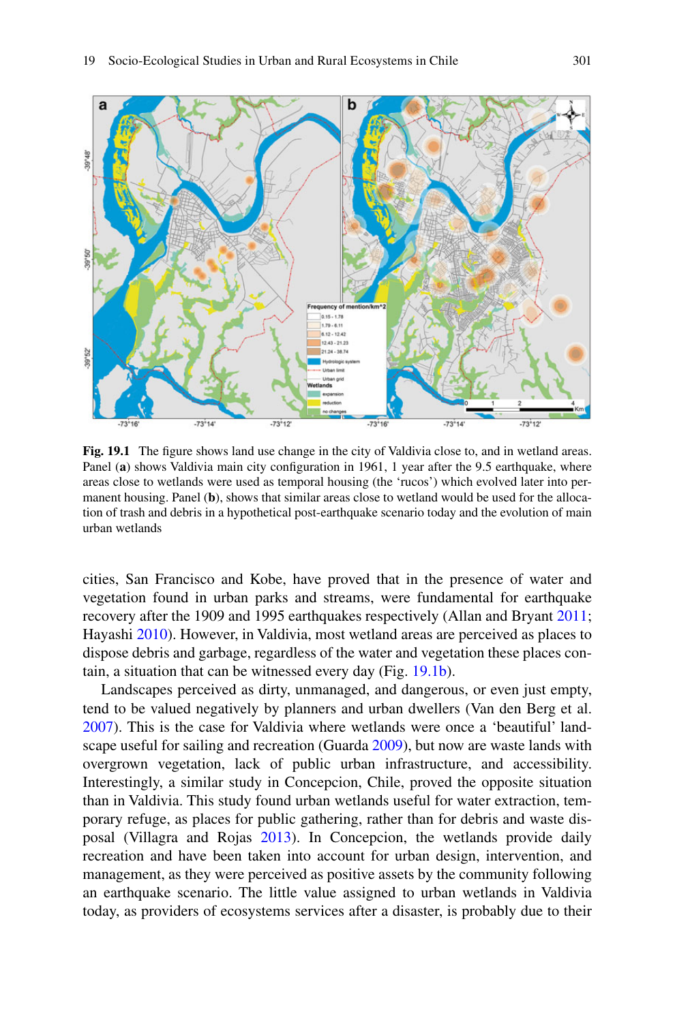<span id="page-4-0"></span>

**Fig. 19.1** The figure shows land use change in the city of Valdivia close to, and in wetland areas. Panel (a) shows Valdivia main city configuration in 1961, 1 year after the 9.5 earthquake, where areas close to wetlands were used as temporal housing (the 'rucos') which evolved later into permanent housing. Panel (**b**), shows that similar areas close to wetland would be used for the allocation of trash and debris in a hypothetical post-earthquake scenario today and the evolution of main urban wetlands

cities, San Francisco and Kobe, have proved that in the presence of water and vegetation found in urban parks and streams, were fundamental for earthquake recovery after the 1909 and 1995 earthquakes respectively (Allan and Bryant 2011; Hayashi [2010](#page-13-0)). However, in Valdivia, most wetland areas are perceived as places to dispose debris and garbage, regardless of the water and vegetation these places contain, a situation that can be witnessed every day (Fig. 19.1b).

 Landscapes perceived as dirty, unmanaged, and dangerous, or even just empty, tend to be valued negatively by planners and urban dwellers (Van den Berg et al. 2007). This is the case for Valdivia where wetlands were once a 'beautiful' landscape useful for sailing and recreation (Guarda [2009](#page-12-0) ), but now are waste lands with overgrown vegetation, lack of public urban infrastructure, and accessibility. Interestingly, a similar study in Concepcion, Chile, proved the opposite situation than in Valdivia. This study found urban wetlands useful for water extraction, temporary refuge, as places for public gathering, rather than for debris and waste disposal (Villagra and Rojas [2013 \)](#page-14-0). In Concepcion, the wetlands provide daily recreation and have been taken into account for urban design, intervention, and management, as they were perceived as positive assets by the community following an earthquake scenario. The little value assigned to urban wetlands in Valdivia today, as providers of ecosystems services after a disaster, is probably due to their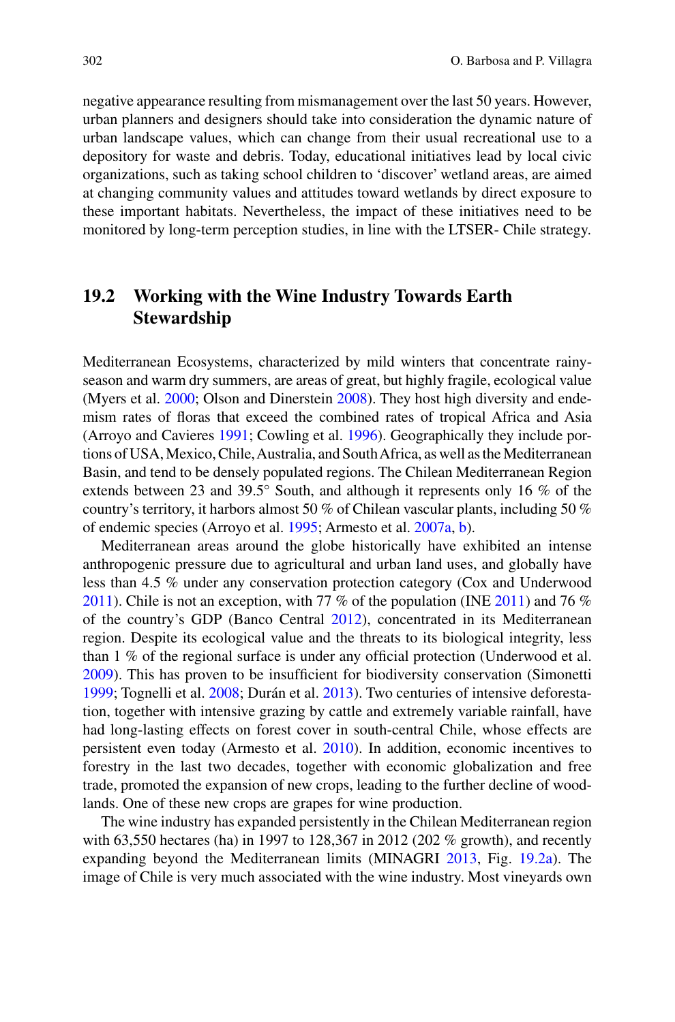negative appearance resulting from mismanagement over the last 50 years. However, urban planners and designers should take into consideration the dynamic nature of urban landscape values, which can change from their usual recreational use to a depository for waste and debris. Today, educational initiatives lead by local civic organizations, such as taking school children to 'discover' wetland areas, are aimed at changing community values and attitudes toward wetlands by direct exposure to these important habitats. Nevertheless, the impact of these initiatives need to be monitored by long-term perception studies, in line with the LTSER- Chile strategy.

#### **19.2 Working with the Wine Industry Towards Earth Stewardship**

 Mediterranean Ecosystems, characterized by mild winters that concentrate rainyseason and warm dry summers, are areas of great, but highly fragile, ecological value (Myers et al. 2000; Olson and Dinerstein [2008](#page-13-0)). They host high diversity and endemism rates of floras that exceed the combined rates of tropical Africa and Asia (Arroyo and Cavieres [1991](#page-12-0) ; Cowling et al. [1996 \)](#page-12-0). Geographically they include portions of USA, Mexico, Chile, Australia, and South Africa, as well as the Mediterranean Basin, and tend to be densely populated regions. The Chilean Mediterranean Region extends between 23 and 39.5° South, and although it represents only 16 % of the country's territory, it harbors almost 50 % of Chilean vascular plants, including 50 % of endemic species (Arroyo et al. [1995](#page-12-0); Armesto et al. [2007a](#page-11-0), b).

 Mediterranean areas around the globe historically have exhibited an intense anthropogenic pressure due to agricultural and urban land uses, and globally have less than 4.5 % under any conservation protection category (Cox and Underwood 2011). Chile is not an exception, with 77 % of the population (INE [2011](#page-13-0)) and 76 % of the country's GDP (Banco Central 2012), concentrated in its Mediterranean region. Despite its ecological value and the threats to its biological integrity, less than  $1\%$  of the regional surface is under any official protection (Underwood et al. 2009). This has proven to be insufficient for biodiversity conservation (Simonetti 1999: Tognelli et al. [2008](#page-14-0); Durán et al. [2013](#page-12-0)). Two centuries of intensive deforestation, together with intensive grazing by cattle and extremely variable rainfall, have had long-lasting effects on forest cover in south-central Chile, whose effects are persistent even today (Armesto et al. [2010](#page-12-0) ). In addition, economic incentives to forestry in the last two decades, together with economic globalization and free trade, promoted the expansion of new crops, leading to the further decline of woodlands. One of these new crops are grapes for wine production.

 The wine industry has expanded persistently in the Chilean Mediterranean region with 63,550 hectares (ha) in 1997 to 128,367 in 2012 (202 % growth), and recently expanding beyond the Mediterranean limits (MINAGRI 2013, Fig. 19.2a). The image of Chile is very much associated with the wine industry. Most vineyards own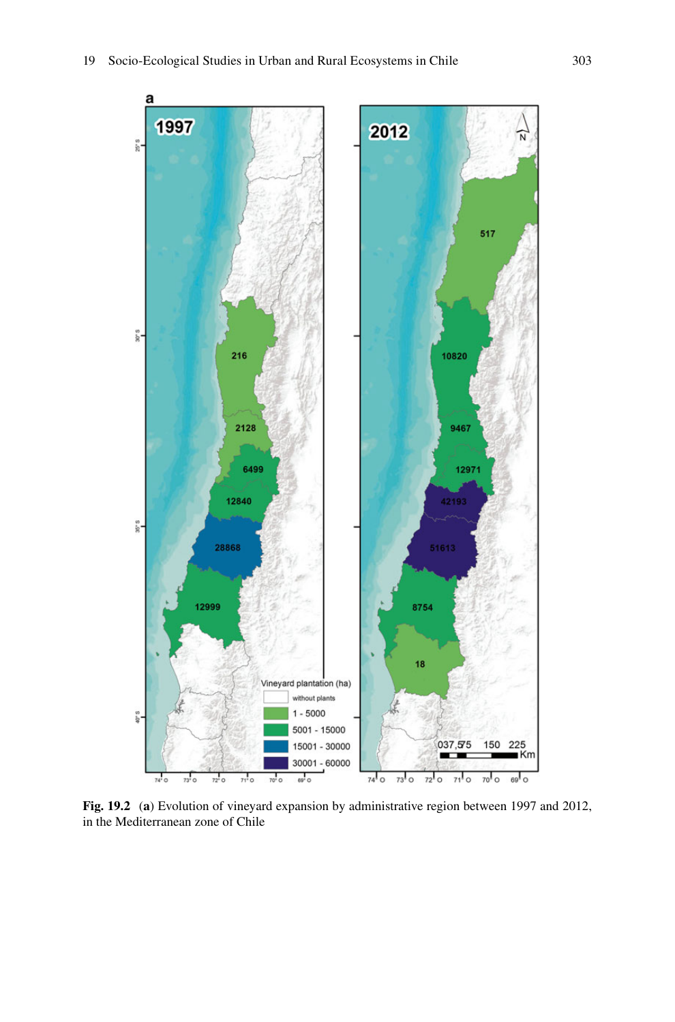<span id="page-6-0"></span>

Fig. 19.2 (a) Evolution of vineyard expansion by administrative region between 1997 and 2012, in the Mediterranean zone of Chile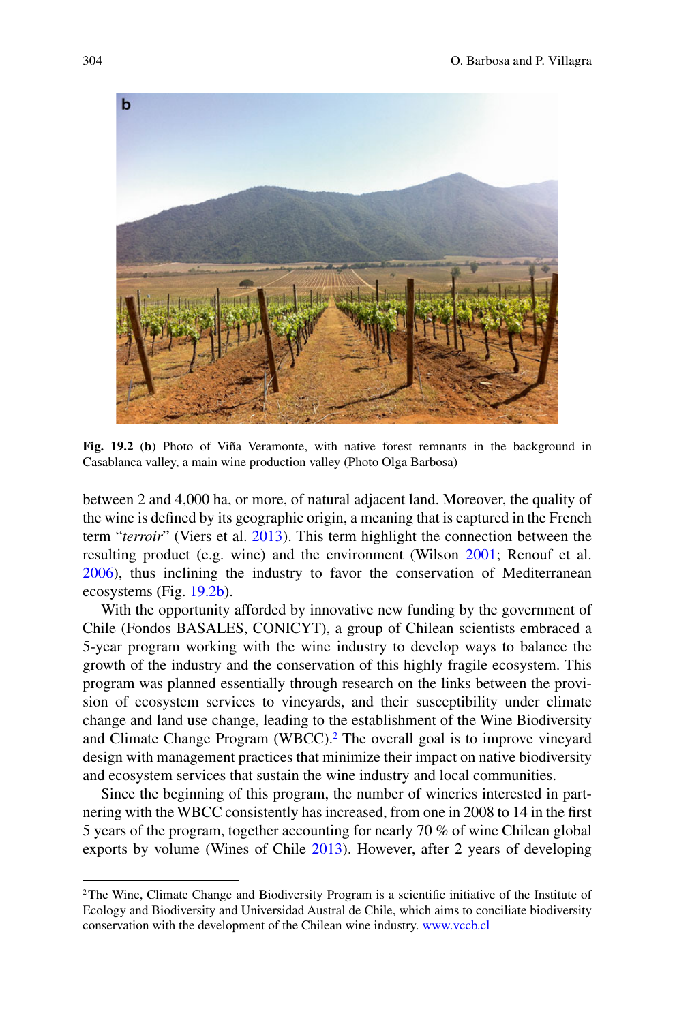

Fig. 19.2 (b) Photo of Viña Veramonte, with native forest remnants in the background in Casablanca valley, a main wine production valley (Photo Olga Barbosa)

between 2 and 4,000 ha, or more, of natural adjacent land. Moreover, the quality of the wine is defined by its geographic origin, a meaning that is captured in the French term "*terroir*" (Viers et al. [2013](#page-14-0)). This term highlight the connection between the resulting product (e.g. wine) and the environment (Wilson  $2001$ ; Renouf et al. 2006), thus inclining the industry to favor the conservation of Mediterranean ecosystems (Fig. [19.2b](#page-6-0)).

 With the opportunity afforded by innovative new funding by the government of Chile (Fondos BASALES, CONICYT), a group of Chilean scientists embraced a 5-year program working with the wine industry to develop ways to balance the growth of the industry and the conservation of this highly fragile ecosystem. This program was planned essentially through research on the links between the provision of ecosystem services to vineyards, and their susceptibility under climate change and land use change, leading to the establishment of the Wine Biodiversity and Climate Change Program (WBCC).<sup>2</sup> The overall goal is to improve vineyard design with management practices that minimize their impact on native biodiversity and ecosystem services that sustain the wine industry and local communities.

 Since the beginning of this program, the number of wineries interested in partnering with the WBCC consistently has increased, from one in 2008 to 14 in the first 5 years of the program, together accounting for nearly 70 % of wine Chilean global exports by volume (Wines of Chile [2013](#page-14-0)). However, after 2 years of developing

<sup>&</sup>lt;sup>2</sup>The Wine, Climate Change and Biodiversity Program is a scientific initiative of the Institute of Ecology and Biodiversity and Universidad Austral de Chile, which aims to conciliate biodiversity conservation with the development of the Chilean wine industry. [www.vccb.cl](http://www.vccb.cl/)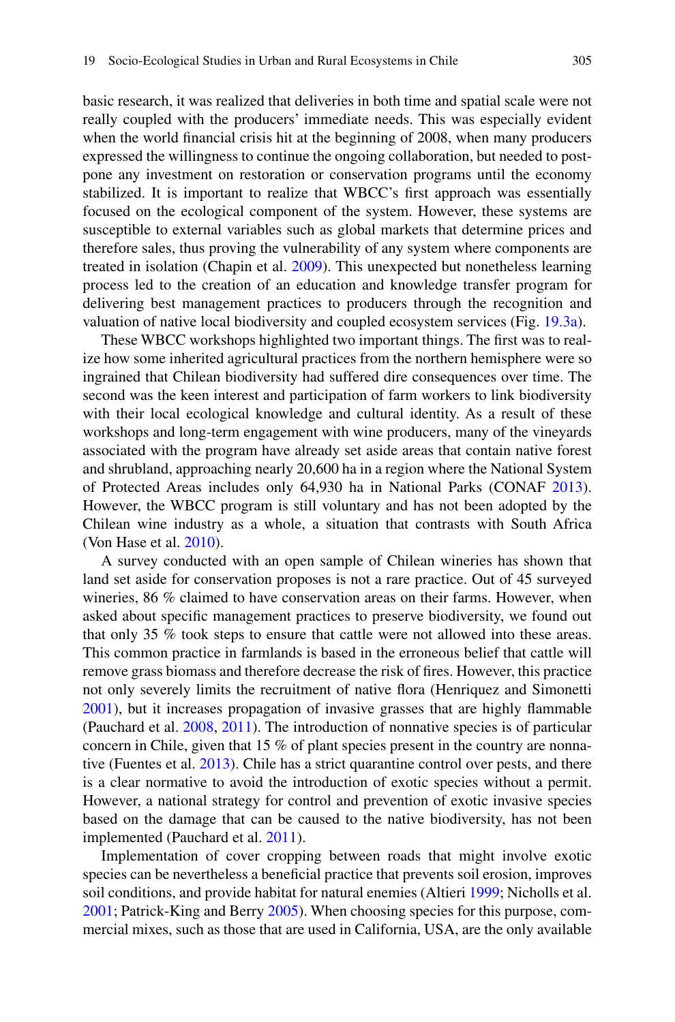basic research, it was realized that deliveries in both time and spatial scale were not really coupled with the producers' immediate needs. This was especially evident when the world financial crisis hit at the beginning of 2008, when many producers expressed the willingness to continue the ongoing collaboration, but needed to postpone any investment on restoration or conservation programs until the economy stabilized. It is important to realize that WBCC's first approach was essentially focused on the ecological component of the system. However, these systems are susceptible to external variables such as global markets that determine prices and therefore sales, thus proving the vulnerability of any system where components are treated in isolation (Chapin et al. [2009](#page-12-0)). This unexpected but nonetheless learning process led to the creation of an education and knowledge transfer program for delivering best management practices to producers through the recognition and valuation of native local biodiversity and coupled ecosystem services (Fig. [19.3a](#page-9-0)).

These WBCC workshops highlighted two important things. The first was to realize how some inherited agricultural practices from the northern hemisphere were so ingrained that Chilean biodiversity had suffered dire consequences over time. The second was the keen interest and participation of farm workers to link biodiversity with their local ecological knowledge and cultural identity. As a result of these workshops and long-term engagement with wine producers, many of the vineyards associated with the program have already set aside areas that contain native forest and shrubland, approaching nearly 20,600 ha in a region where the National System of Protected Areas includes only 64,930 ha in National Parks (CONAF 2013). However, the WBCC program is still voluntary and has not been adopted by the Chilean wine industry as a whole, a situation that contrasts with South Africa (Von Hase et al. [2010](#page-14-0)).

 A survey conducted with an open sample of Chilean wineries has shown that land set aside for conservation proposes is not a rare practice. Out of 45 surveyed wineries, 86 % claimed to have conservation areas on their farms. However, when asked about specific management practices to preserve biodiversity, we found out that only 35 % took steps to ensure that cattle were not allowed into these areas. This common practice in farmlands is based in the erroneous belief that cattle will remove grass biomass and therefore decrease the risk of fires. However, this practice not only severely limits the recruitment of native flora (Henriquez and Simonetti  $2001$ ), but it increases propagation of invasive grasses that are highly flammable (Pauchard et al. [2008](#page-13-0), [2011](#page-13-0)). The introduction of nonnative species is of particular concern in Chile, given that 15 % of plant species present in the country are nonnative (Fuentes et al. 2013). Chile has a strict quarantine control over pests, and there is a clear normative to avoid the introduction of exotic species without a permit. However, a national strategy for control and prevention of exotic invasive species based on the damage that can be caused to the native biodiversity, has not been implemented (Pauchard et al. [2011](#page-13-0)).

 Implementation of cover cropping between roads that might involve exotic species can be nevertheless a beneficial practice that prevents soil erosion, improves soil conditions, and provide habitat for natural enemies (Altieri [1999](#page-11-0); Nicholls et al. 2001; Patrick-King and Berry [2005](#page-13-0)). When choosing species for this purpose, commercial mixes, such as those that are used in California, USA, are the only available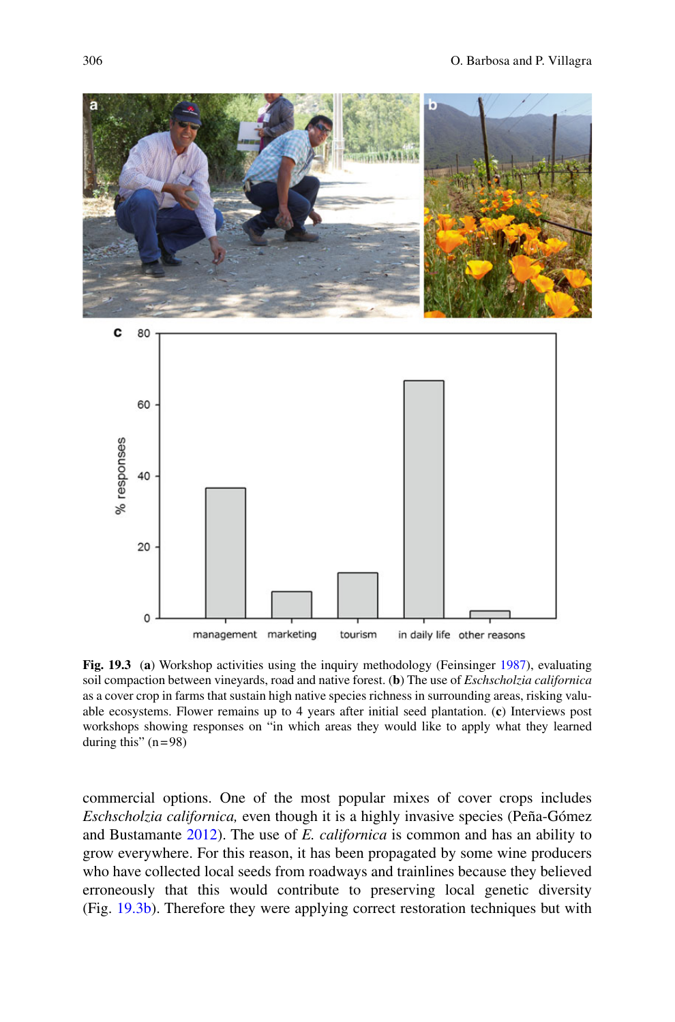<span id="page-9-0"></span>

**Fig. 19.3** (a) Workshop activities using the inquiry methodology (Feinsinger 1987), evaluating soil compaction between vineyards, road and native forest. (**b**) The use of *Eschscholzia californica* as a cover crop in farms that sustain high native species richness in surrounding areas, risking valuable ecosystems. Flower remains up to 4 years after initial seed plantation. ( **c** ) Interviews post workshops showing responses on "in which areas they would like to apply what they learned during this"  $(n=98)$ 

commercial options. One of the most popular mixes of cover crops includes *Eschscholzia californica,* even though it is a highly invasive species (Peña-Gómez and Bustamante [2012 \)](#page-14-0). The use of *E. californica* is common and has an ability to grow everywhere. For this reason, it has been propagated by some wine producers who have collected local seeds from roadways and trainlines because they believed erroneously that this would contribute to preserving local genetic diversity (Fig. 19.3b). Therefore they were applying correct restoration techniques but with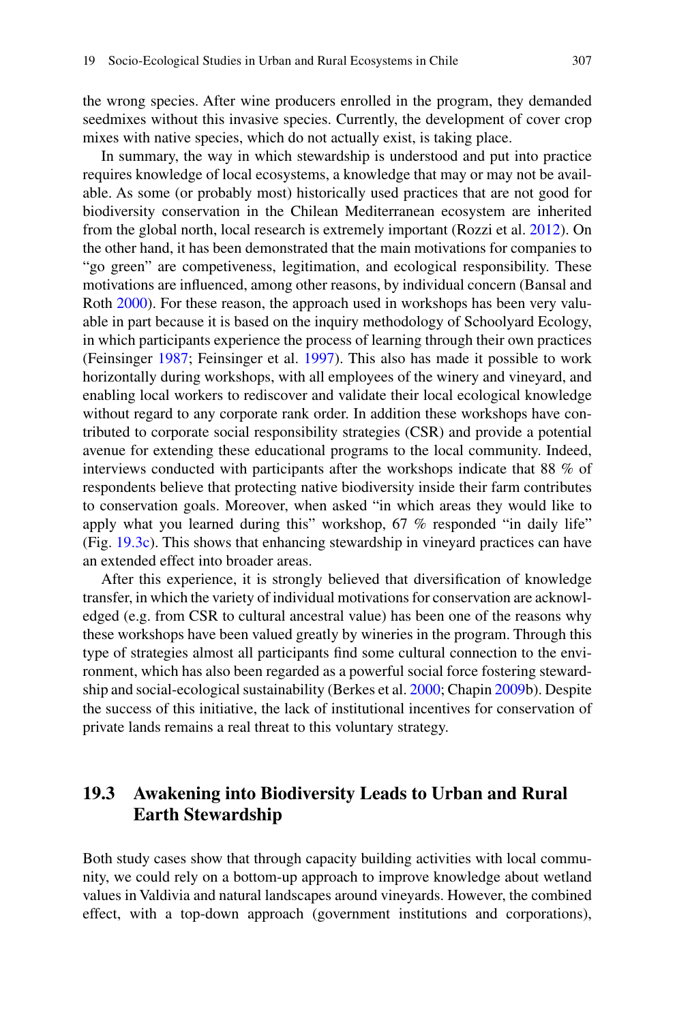the wrong species. After wine producers enrolled in the program, they demanded seedmixes without this invasive species. Currently, the development of cover crop mixes with native species, which do not actually exist, is taking place.

 In summary, the way in which stewardship is understood and put into practice requires knowledge of local ecosystems, a knowledge that may or may not be available. As some (or probably most) historically used practices that are not good for biodiversity conservation in the Chilean Mediterranean ecosystem are inherited from the global north, local research is extremely important (Rozzi et al. [2012](#page-14-0) ). On the other hand, it has been demonstrated that the main motivations for companies to "go green" are competiveness, legitimation, and ecological responsibility. These motivations are influenced, among other reasons, by individual concern (Bansal and Roth [2000](#page-12-0)). For these reason, the approach used in workshops has been very valuable in part because it is based on the inquiry methodology of Schoolyard Ecology, in which participants experience the process of learning through their own practices (Feinsinger [1987 ;](#page-12-0) Feinsinger et al. [1997 \)](#page-12-0). This also has made it possible to work horizontally during workshops, with all employees of the winery and vineyard, and enabling local workers to rediscover and validate their local ecological knowledge without regard to any corporate rank order. In addition these workshops have contributed to corporate social responsibility strategies (CSR) and provide a potential avenue for extending these educational programs to the local community. Indeed, interviews conducted with participants after the workshops indicate that 88 % of respondents believe that protecting native biodiversity inside their farm contributes to conservation goals. Moreover, when asked "in which areas they would like to apply what you learned during this" workshop, 67 % responded "in daily life" (Fig.  $19.3c$ ). This shows that enhancing stewardship in vineyard practices can have an extended effect into broader areas.

After this experience, it is strongly believed that diversification of knowledge transfer, in which the variety of individual motivations for conservation are acknowledged (e.g. from CSR to cultural ancestral value) has been one of the reasons why these workshops have been valued greatly by wineries in the program. Through this type of strategies almost all participants find some cultural connection to the environment, which has also been regarded as a powerful social force fostering steward-ship and social-ecological sustainability (Berkes et al. 2000; Chapin [2009](#page-12-0)b). Despite the success of this initiative, the lack of institutional incentives for conservation of private lands remains a real threat to this voluntary strategy.

## **19.3 Awakening into Biodiversity Leads to Urban and Rural Earth Stewardship**

 Both study cases show that through capacity building activities with local community, we could rely on a bottom-up approach to improve knowledge about wetland values in Valdivia and natural landscapes around vineyards. However, the combined effect, with a top-down approach (government institutions and corporations),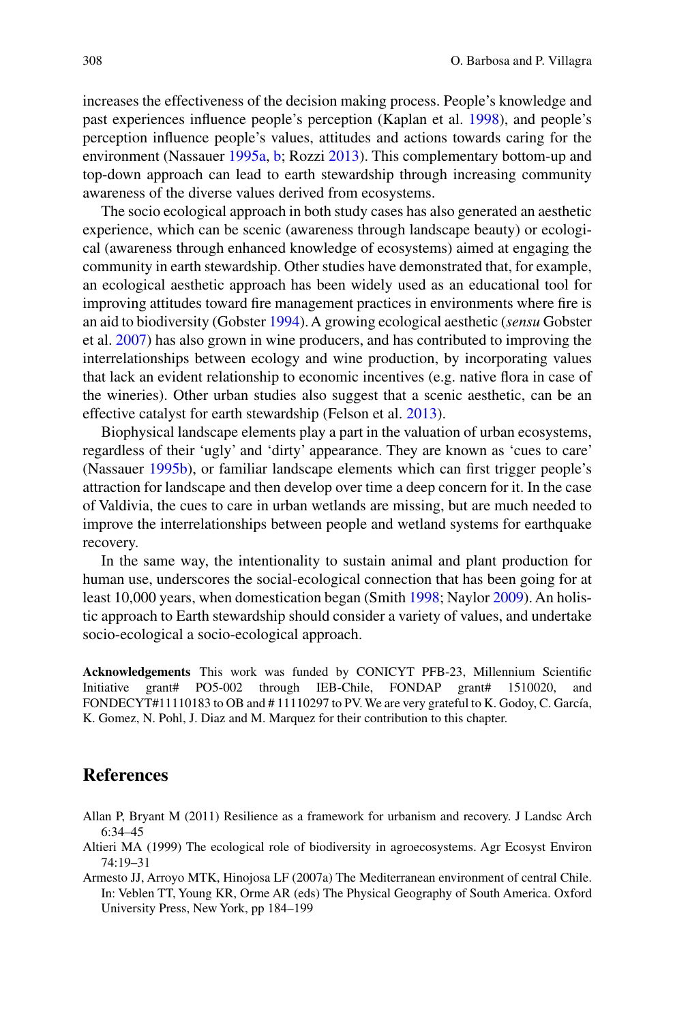<span id="page-11-0"></span>increases the effectiveness of the decision making process. People's knowledge and past experiences influence people's perception (Kaplan et al. [1998](#page-13-0)), and people's perception influence people's values, attitudes and actions towards caring for the environment (Nassauer [1995a](#page-13-0), [b](#page-13-0); Rozzi  $2013$ ). This complementary bottom-up and top-down approach can lead to earth stewardship through increasing community awareness of the diverse values derived from ecosystems.

 The socio ecological approach in both study cases has also generated an aesthetic experience, which can be scenic (awareness through landscape beauty) or ecological (awareness through enhanced knowledge of ecosystems) aimed at engaging the community in earth stewardship. Other studies have demonstrated that, for example, an ecological aesthetic approach has been widely used as an educational tool for improving attitudes toward fire management practices in environments where fire is an aid to biodiversity (Gobster [1994](#page-12-0) ). A growing ecological aesthetic ( *sensu* Gobster et al. [2007](#page-12-0) ) has also grown in wine producers, and has contributed to improving the interrelationships between ecology and wine production, by incorporating values that lack an evident relationship to economic incentives (e.g. native flora in case of the wineries). Other urban studies also suggest that a scenic aesthetic, can be an effective catalyst for earth stewardship (Felson et al. [2013 \)](#page-12-0).

 Biophysical landscape elements play a part in the valuation of urban ecosystems, regardless of their 'ugly' and 'dirty' appearance. They are known as 'cues to care' (Nassauer [1995b](#page-13-0)), or familiar landscape elements which can first trigger people's attraction for landscape and then develop over time a deep concern for it. In the case of Valdivia, the cues to care in urban wetlands are missing, but are much needed to improve the interrelationships between people and wetland systems for earthquake recovery.

 In the same way, the intentionality to sustain animal and plant production for human use, underscores the social-ecological connection that has been going for at least 10,000 years, when domestication began (Smith [1998](#page-14-0); Naylor [2009](#page-13-0)). An holistic approach to Earth stewardship should consider a variety of values, and undertake socio-ecological a socio-ecological approach.

Acknowledgements This work was funded by CONICYT PFB-23, Millennium Scientific Initiative grant# PO5-002 through IEB-Chile, FONDAP grant# 1510020, and FONDECYT#11110183 to OB and # 11110297 to PV. We are very grateful to K. Godoy, C. García, K. Gomez, N. Pohl, J. Diaz and M. Marquez for their contribution to this chapter.

#### **References**

- Allan P, Bryant M (2011) Resilience as a framework for urbanism and recovery. J Landsc Arch 6:34–45
- Altieri MA (1999) The ecological role of biodiversity in agroecosystems. Agr Ecosyst Environ 74:19–31
- Armesto JJ, Arroyo MTK, Hinojosa LF (2007a) The Mediterranean environment of central Chile. In: Veblen TT, Young KR, Orme AR (eds) The Physical Geography of South America. Oxford University Press, New York, pp 184–199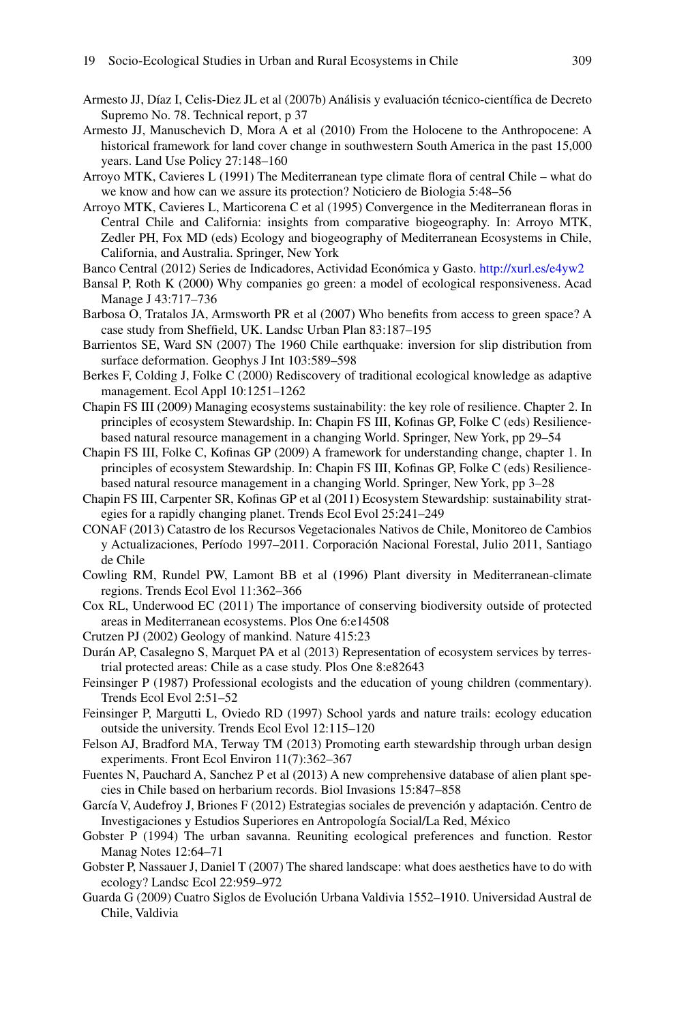- <span id="page-12-0"></span>Armesto JJ, Díaz I, Celis-Diez JL et al (2007b) Análisis y evaluación técnico-científica de Decreto Supremo No. 78. Technical report, p 37
- Armesto JJ, Manuschevich D, Mora A et al (2010) From the Holocene to the Anthropocene: A historical framework for land cover change in southwestern South America in the past 15,000 years. Land Use Policy 27:148–160
- Arroyo MTK, Cavieres L  $(1991)$  The Mediterranean type climate flora of central Chile what do we know and how can we assure its protection? Noticiero de Biologia 5:48–56
- Arroyo MTK, Cavieres L, Marticorena C et al (1995) Convergence in the Mediterranean floras in Central Chile and California: insights from comparative biogeography. In: Arroyo MTK, Zedler PH, Fox MD (eds) Ecology and biogeography of Mediterranean Ecosystems in Chile, California, and Australia. Springer, New York
- Banco Central (2012) Series de Indicadores, Actividad Económica y Gasto.<http://xurl.es/e4yw2>
- Bansal P, Roth K (2000) Why companies go green: a model of ecological responsiveness. Acad Manage J 43:717–736
- Barbosa O, Tratalos JA, Armsworth PR et al (2007) Who benefits from access to green space? A case study from Sheffield, UK. Landsc Urban Plan 83:187–195
- Barrientos SE, Ward SN (2007) The 1960 Chile earthquake: inversion for slip distribution from surface deformation. Geophys J Int 103:589–598
- Berkes F, Colding J, Folke C (2000) Rediscovery of traditional ecological knowledge as adaptive management. Ecol Appl 10:1251–1262
- Chapin FS III (2009) Managing ecosystems sustainability: the key role of resilience. Chapter 2. In principles of ecosystem Stewardship. In: Chapin FS III, Kofinas GP, Folke C (eds) Resiliencebased natural resource management in a changing World. Springer, New York, pp 29–54
- Chapin FS III, Folke C, Kofinas GP (2009) A framework for understanding change, chapter 1. In principles of ecosystem Stewardship. In: Chapin FS III, Kofinas GP, Folke C (eds) Resiliencebased natural resource management in a changing World. Springer, New York, pp 3–28
- Chapin FS III, Carpenter SR, Kofinas GP et al (2011) Ecosystem Stewardship: sustainability strategies for a rapidly changing planet. Trends Ecol Evol 25:241–249
- CONAF (2013) Catastro de los Recursos Vegetacionales Nativos de Chile, Monitoreo de Cambios y Actualizaciones, Período 1997–2011. Corporación Nacional Forestal, Julio 2011, Santiago de Chile
- Cowling RM, Rundel PW, Lamont BB et al (1996) Plant diversity in Mediterranean-climate regions. Trends Ecol Evol 11:362–366
- Cox RL, Underwood EC (2011) The importance of conserving biodiversity outside of protected areas in Mediterranean ecosystems. Plos One 6:e14508
- Crutzen PJ (2002) Geology of mankind. Nature 415:23
- Durán AP, Casalegno S, Marquet PA et al (2013) Representation of ecosystem services by terrestrial protected areas: Chile as a case study. Plos One 8:e82643
- Feinsinger P (1987) Professional ecologists and the education of young children (commentary). Trends Ecol Evol 2:51–52
- Feinsinger P, Margutti L, Oviedo RD (1997) School yards and nature trails: ecology education outside the university. Trends Ecol Evol 12:115–120
- Felson AJ, Bradford MA, Terway TM (2013) Promoting earth stewardship through urban design experiments. Front Ecol Environ 11(7):362–367
- Fuentes N, Pauchard A, Sanchez P et al (2013) A new comprehensive database of alien plant species in Chile based on herbarium records. Biol Invasions 15:847–858
- García V, Audefroy J, Briones F (2012) Estrategias sociales de prevención y adaptación. Centro de Investigaciones y Estudios Superiores en Antropología Social/La Red, México
- Gobster P (1994) The urban savanna. Reuniting ecological preferences and function. Restor Manag Notes 12:64–71
- Gobster P, Nassauer J, Daniel T (2007) The shared landscape: what does aesthetics have to do with ecology? Landsc Ecol 22:959–972
- Guarda G (2009) Cuatro Siglos de Evolución Urbana Valdivia 1552–1910. Universidad Austral de Chile, Valdivia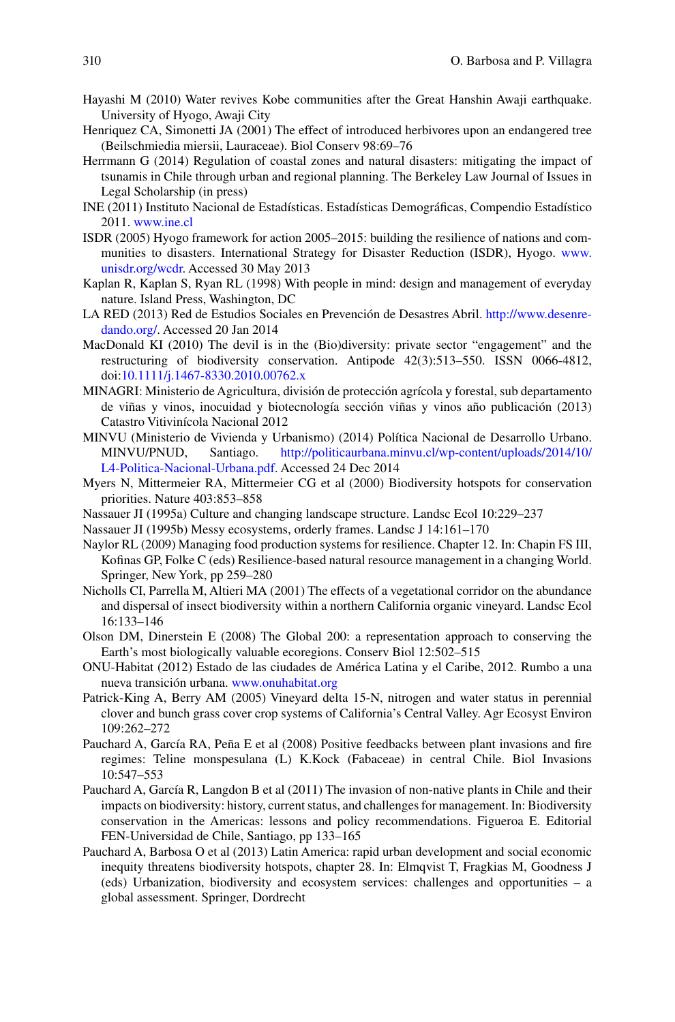- <span id="page-13-0"></span> Hayashi M (2010) Water revives Kobe communities after the Great Hanshin Awaji earthquake. University of Hyogo, Awaji City
- Henriquez CA, Simonetti JA (2001) The effect of introduced herbivores upon an endangered tree (Beilschmiedia miersii, Lauraceae). Biol Conserv 98:69–76
- Herrmann G (2014) Regulation of coastal zones and natural disasters: mitigating the impact of tsunamis in Chile through urban and regional planning. The Berkeley Law Journal of Issues in Legal Scholarship (in press)
- INE (2011) Instituto Nacional de Estadísticas. Estadísticas Demográficas, Compendio Estadístico 2011. [www.ine.cl](http://www.ine.cl/)
- ISDR (2005) Hyogo framework for action 2005–2015: building the resilience of nations and communities to disasters. International Strategy for Disaster Reduction (ISDR), Hyogo. [www.](http://www.unisdr.org/wcdr) [unisdr.org/wcdr.](http://www.unisdr.org/wcdr) Accessed 30 May 2013
- Kaplan R, Kaplan S, Ryan RL (1998) With people in mind: design and management of everyday nature. Island Press, Washington, DC
- LA RED (2013) Red de Estudios Sociales en Prevención de Desastres Abril. [http://www.desenre](http://www.desenredando.org/)[dando.org/](http://www.desenredando.org/). Accessed 20 Jan 2014
- MacDonald KI (2010) The devil is in the (Bio)diversity: private sector "engagement" and the restructuring of biodiversity conservation. Antipode 42(3):513–550. ISSN 0066-4812, doi[:10.1111/j.1467-8330.2010.00762.x](http://dx.doi.org/10.1111/j.1467-8330.2010.00762.x)
- MINAGRI: Ministerio de Agricultura, división de protección agrícola y forestal, sub departamento de viñas y vinos, inocuidad y biotecnología sección viñas y vinos año publicación (2013) Catastro Vitivinícola Nacional 2012
- MINVU (Ministerio de Vivienda y Urbanismo) (2014) Política Nacional de Desarrollo Urbano. MINVU/PNUD, Santiago. [http://politicaurbana.minvu.cl/wp-content/uploads/2014/10/](http://politicaurbana.minvu.cl/wp-content/uploads/2014/10/L4-Politica-Nacional-Urbana.pdf) [L4-Politica-Nacional-Urbana.pdf.](http://politicaurbana.minvu.cl/wp-content/uploads/2014/10/L4-Politica-Nacional-Urbana.pdf) Accessed 24 Dec 2014
- Myers N, Mittermeier RA, Mittermeier CG et al (2000) Biodiversity hotspots for conservation priorities. Nature 403:853–858
- Nassauer JI (1995a) Culture and changing landscape structure. Landsc Ecol 10:229–237
- Nassauer JI (1995b) Messy ecosystems, orderly frames. Landsc J 14:161–170
- Naylor RL (2009) Managing food production systems for resilience. Chapter 12. In: Chapin FS III, Kofinas GP, Folke C (eds) Resilience-based natural resource management in a changing World. Springer, New York, pp 259–280
- Nicholls CI, Parrella M, Altieri MA (2001) The effects of a vegetational corridor on the abundance and dispersal of insect biodiversity within a northern California organic vineyard. Landsc Ecol 16:133–146
- Olson DM, Dinerstein E (2008) The Global 200: a representation approach to conserving the Earth's most biologically valuable ecoregions. Conserv Biol 12:502–515
- ONU-Habitat (2012) Estado de las ciudades de América Latina y el Caribe, 2012. Rumbo a una nueva transición urbana. [www.onuhabitat.org](http://www.onuhabitat.org/)
- Patrick-King A, Berry AM (2005) Vineyard delta 15-N, nitrogen and water status in perennial clover and bunch grass cover crop systems of California's Central Valley. Agr Ecosyst Environ 109:262–272
- Pauchard A, García RA, Peña E et al (2008) Positive feedbacks between plant invasions and fire regimes: Teline monspesulana (L) K.Kock (Fabaceae) in central Chile. Biol Invasions 10:547–553
- Pauchard A, García R, Langdon B et al (2011) The invasion of non-native plants in Chile and their impacts on biodiversity: history, current status, and challenges for management. In: Biodiversity conservation in the Americas: lessons and policy recommendations. Figueroa E. Editorial FEN-Universidad de Chile, Santiago, pp 133–165
- Pauchard A, Barbosa O et al (2013) Latin America: rapid urban development and social economic inequity threatens biodiversity hotspots, chapter 28. In: Elmqvist T, Fragkias M, Goodness J (eds) Urbanization, biodiversity and ecosystem services: challenges and opportunities – a global assessment. Springer, Dordrecht